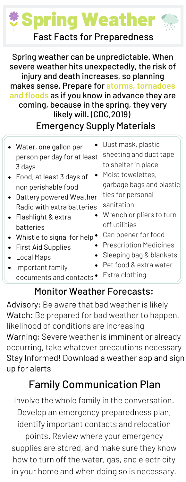# Spring Weather Fast Facts for Preparedness

Spring weather can be unpredictable. When severe weather hits unexpectedly, the risk of injury and death increases, so planning makes sense. Prepare for **storms, tornadoes and floods** as if you know in advance they are coming, because in the spring, they very likely will. (CDC,2019) Emergency Supply Materials

Water, one gallon per person per day for at least 3 days Food, at least 3 days of non perishable food Battery powered Weather Radio with extra batteries Flashlight & extra batteries Whistle to signal for help  $\bullet$ First Aid Supplies Local Maps Important family documents and contacts<sup>•</sup> Dust mask, plastic sheeting and duct tape to shelter in place Moist towelettes, garbage bags and plastic ties for personal sanitation Wrench or pliers to turn off utilities Can opener for food Prescription Medicines Sleeping bag & blankets Pet food & extra water Extra clothing

## Monitor Weather Forecasts:

Advisory: Be aware that bad weather is likely Watch: Be prepared for bad weather to happen, likelihood of conditions are increasing Warning: Severe weather is imminent or already occurring, take whatever precautions necessary Stay Informed! Download a weather app and sign up for alerts

# Family Communication Plan

Involve the whole family in the conversation. Develop an emergency preparedness plan, identify important contacts and relocation points. Review where your emergency supplies are stored, and make sure they know how to turn off the water, gas, and electricity in your home and when doing so is necessary.